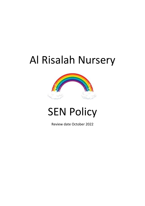# Al Risalah Nursery



# **SEN Policy**

Review date October 2022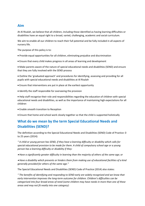## **Aim**

At Al Risalah, we believe that all children, including those identified as having learning difficulties or disabilities have an equal right to a broad, varied, challenging, academic and social curriculum.

We aim to enable all our children to reach their full potential and be fully included in all aspects of nursery life.

The purpose of this policy is to:

- Provide equal opportunities for all children, eliminating prejudice and discrimination
- Ensure that every child makes progress in all areas of learning and development

• Make parents aware of the nature of special educational needs and disabilities (SEND) and ensure that they are fully involved with the SEND process

• Outline the 'graduated approach' and procedures for identifying, assessing and providing for all pupils with special educational needs and disabilities at Al Risalah

- Ensure that interventions are put in place at the earliest opportunity
- Identify the staff responsible for overseeing the provision

• Help staff recognise their role and responsibilities regarding the education of children with special educational needs and disabilities, as well as the importance of maintaining high expectations for all children

- Enable smooth transition to Reception
- Ensure that home and school work closely together so that the child is supported holistically

# **What do we mean by the term Special Educational Needs and Disabilities (SEND)?**

The definition according to the Special Educational Needs and Disabilities (SEND) Code of Practice: 0 to 25 years (2014):

*" A child or young person has SEND, if they have a learning difficulty or disability which calls for special educational provision to be made for them. A child of compulsory school age or a young person has a learning difficulty or disability if they:* 

• *Have a significantly greater difficulty in learning than the majority of others of the same age; or* 

• *Have a disability which prevents or hinders them from making use of educational facilities of a kind generally provided for others of the same age."*

The Special Educational Needs and Disabilities (SEND) Code of Practice (2014) also states:

*" The benefits of identifying and responding to SEND early are widely recognised and we know that early intervention improves the long-term outcome for children. Children's difficulties can be categorised into four broad areas of need (some children may have needs in more than one of these areas and may not fit neatly into one category):*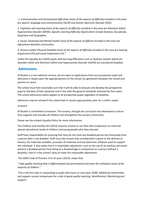*1. Communication and Interactional difficulties Some of the aspects of difficulty included in this area are speech, language and communication (SLCN) and Autistic Spectrum Disorder (ASD).* 

*2. Cognition and Learning Some of the aspects of difficulty included in this area are Attention Deficit Hyperactivity Disorder (ADHD), Specific Learning Difficulty (SpLD) which include Dyslexia, Dyscalculia, Dyspraxia and Dysgraphia.* 

*3. Social, Emotional and Mental health Some of the aspects of difficult included in this area are adjustment disorders and anxiety.* 

*4. Sensory and/or Physical Disability Some of the aspects of difficulty included in this area are hearing impairment (HI) and visual impairment (VI)."*

Under the Equality Act (2010) pupils with learning difficulties such as Dyslexia, Autistic Spectrum disorders (ASD) and Attention Deficit and Hyperactivity Disorder (ADHD) are considered disabled.

## **Admissions**

Al Risalah is a non-selective nursery, we are open to applications from any prospective pupil and admission is based upon the appropriateness of the school, by agreement between the school and parents or carers.

The school must feel reasonably sure that it will be able to educate and develop the prospective pupil to the best of their potential and in line with the general standards achieved by their peers. The school admissions policy applies to all prospective pupils regardless of disability.

Admission may be refused if the school feels it cannot appropriately cater for a child's needs.

#### Inclusion

Al Risalah is committed to inclusion. The nursery, through the curriculum has developed a culture that supports and includes all children and strengthens the nursery community.

Please see the schools Equality Policy for more information.

The Children and Families Act (2014) requires schools to use their best endeavours to meet the special educational needs of children and young people who they educate.

Staff have responsibility for ensuring that they do not treat any disabled person less favourably than a person who is not disabled. Staff must also ensure that consideration is given to the delivery of lessons, the materials available, provision of materials and any electronic software used to support the individual. It also states that if a reasonable adjustment, such as the use of an auxiliary aid would prevent a disabled person from being at a disadvantage in comparison to a person without a disability, then it is the school's duty to make this reasonable adjustment.

The SEND Code of Practice: 0 to 25 years (2014), states that:

*" High quality teaching that is differentiated and personalised will meet the individual needs of the majority of children."*

This is the first step in responding to pupils who have, or may have, SEND. Additional intervention and support cannot compensate for a lack of good quality teaching. Identification, Monitoring and Support.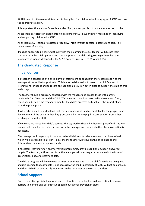At Al Risalah it is the role of all teachers to be vigilant for children who display signs of SEND and take the appropriate action.

It is important that children's needs are identified, and support is put in place as soon as possible.

All teachers participate in ongoing training as part of INSET days and staff meetings on identifying and supporting children with SEND.

All children at Al Risalah are assessed regularly. This is through constant observations across all seven areas of learning.

If a child appears to be having difficulty with their learning the class teacher will discuss their concerns with the child's parents and start supporting the child using strategies based on the 'graduated response' described in the SEND Code of Practice: 0 to 25 years (2014).

## **The Graduated Response**

## Initial Concern

If a teacher is concerned by a child's level of attainment or behaviour, they should report to the manager at the earliest opportunity . This is a formal discussion to record the child's areas of strength and/or needs and to record any additional provision put in place to support the child at this early stage.

The teacher should discuss any concerns with the manager and broach these with parents sensitively. This Team around the Child (TAC) meeting should be recorded in the relevant form, which should enable the teacher to monitor the child's progress and evaluate the impact of any provision put in place.

3. All teachers need to understand that they are responsible and accountable for the progress and development of the pupils in their key group, including where pupils access support from other teaching or specialist staff.

If concerns are raised by a child's parents, the key worker should be their first port of call. The key worker will then discuss their concerns with the manager and decide whether the above action is necessary.

The manager will keep an up to date record of all children for which a concern has been raised, which will be available to all staff. In lessons the teacher will focus on this child's needs and differentiate their lessons appropriately.

If necessary, they may start an intervention programme, provide additional support and/or set targets. The teacher, with support from the manager, will start to gather evidence in the form of observations and/or assessment data.

The child's progress will be reviewed at least three times a year. If the child's needs are being met and it is deemed that extra help is not necessary, the child's possibility of SEND will not be pursued, and the child will be continually monitored in the same way as the rest of the class.

# **School Support**

Once a potential special educational need is identified, the school should take action to remove barriers to learning and put effective special educational provision in place.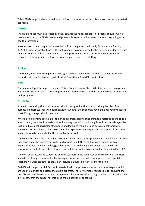This is SEND support which should take the form of a four-part cycle, this is known as the 'graduated approach':

#### **1. Assess**

The child's needs must be assessed so they can get the right support. This process should involve parents, teachers, the SEND Leader and potentially expects such as an educational psychologist or health professional.

In some cases, the manager, with permission from the parents, will apply for additional funding (SENDIF) from the local authority. This will cover any costs incurred by the nursery in order to ensure that every child in light of their needs has an opportunity to access the EYFS equally ambitious outcomes. This may be in the form of, for example, resources or staffing.

#### **2. Plan**

The school, with input from parents, will agree on how they intend the child to benefit from the support that is put in place and an Individual Educational Plan (IEP) put in place.

#### **3. Do**

The school will put the support in place. This is likely to involve the child's teacher, the manager and any support staff or specialist teaching staff who will work with the child or be involved with tracking their progress.

#### **4. Review**

A date for reviewing the child's support should be agreed at the time of making the plan. The parents and class teacher will decide together whether the support is having the desired impact and what, if any, changes should be made.

Where a child continues to make little or no progress, despite support that is matched to the child's area of need, the school should consider involving specialists, including those from outside agencies such as educational psychologists, speech and language therapists and occupational therapists. Some children who have had an assessment by a specialist may require further support from them and are also to be supported at this stage by the school.

Some children may have a formal assessment from an educational psychologist, which indicates that they have a specific learning difficulty, such as dyslexia. If these children are working within expectations for their age, making good progress and are having their needs met they do not necessarily need to be on School Support and will be moved onto an Individual Education Plan (IEP).

They will be assessed and supported by their teachers in the same way as the majority of the class and will be closely monitored by the manager, the key worker, with the support of any specialist teachers will work together to create an Individual Education Plan (IEP) for the child.

Each IEP will target the child's specific needs. It will comprise of no more than three targets, which are used to monitor and assess the child's progress. The key worker is responsible for ensuring that the IEPs are completed and shared with parents. Parents are asked to sign the bottom of their child's IEP to show that the school has informed them about their concerns.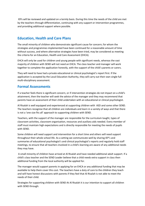IEPs will be reviewed and updated on a termly basis. During this time the needs of the child are met by the teachers through differentiation, continuing with any support or intervention programmes, and providing additional support where possible.

## **Education, Health and Care Plans**

The small minority of children who demonstrate significant cause for concern; for whom the strategies and programmes implemented have been continued for a reasonable amount of time without success, and where alternative strategies have been tried, may be considered as meeting the criteria for an Education, Health and Care Assessment (EHCA).

EHCA will only be used for children and young people with significant needs, whereas the vast majority of children with SEND will not need an EHCA. The class teacher and manager will work together to complete the application honestly, with the support of the child's parents or carers.

They will need to have had a private educational or clinical psychologist's report first. If the application is accepted by the Local Education Authority, they will carry out their own single full multi-disciplinary assessment.

## **Formal Assessments**

If a teacher feels there is significant concern, or if intervention strategies do not impact on a child's attainment, then the teacher will seek the advice of the manager and they may recommend that parents have an assessment of their child undertaken with an educational or clinical psychologist.

Al Risalah is well equipped and experienced at supporting children with ASD and some other SEND. The teachers recognise that all children are individuals and learn in a variety of ways and that there is not a 'one size fits all' approach to supporting children with SEND.

Teachers, with the support of the manager are responsible for the curriculum taught, types of classroom activities, classroom organisation, resources and auxiliary aids needed. Every member of staff must maintain high expectations and is directly responsible for meeting the needs of pupils with SEND.

Some children will need support and intervention for a short time and others will need support throughout their whole school life. As a setting we communicate well by sharing IEP's and summaries of educational psychologist's and clinical psychologist's reports and regularly hold staff meetings, to ensure that all teachers involved in a child's learning are aware of any additional needs they may have.

A small minority of children have arrived at Al Risalah and have needed additional adult support. If a child's class teacher and the SEND Leader believe that a child needs extra support in class then additional funding from the local authority will be applied for.

The manager would support parents in applying for an EHCA or any additional funding that may be available to help them cover this cost. The teachers have a duty of care to the children they teach and will have honest discussions with parents if they feel that Al Risalah is not able to meet the needs of their child.

Strategies for supporting children with SEND At Al Risalah it is our intention to support all children with SEND through: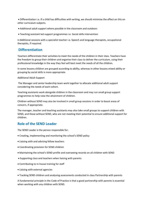• Differentiation i.e. If a child has difficulties with writing, we should minimise the effect on this on other curriculum subjects.

- Additional adult support where possible in the classroom and outdoors
- Teaching assistant led support programmes i.e. Social skills intervention

• Additional sessions with a specialist teacher i.e. Speech and language therapists, occupational therapists, if required.

### **Differentiation**

Teachers differentiate their activities to meet the needs of the children in their class. Teachers have the freedom to group their children and organise their class to deliver the curriculum, using their professional knowledge in the way they feel will best meet the needs of all the children.

In some lessons children are grouped according to ability, whereas in other lessons mixed ability or grouping by social skills is more appropriate.

#### Additional Adult Support

The Manager and senior leadership team work together to allocate additional adult support considering the needs of each cohort.

Teaching assistants work alongside children in the classroom and may run small group support programmes to help raise the attainment of children.

Children without SEND may also be involved in small group sessions in order to boost areas of concern, if appropriate.

The manager, teacher and teaching assistants may also take small groups to support children with SEND, and those without SEND, who are not meeting their potential to ensure additional support for children.

### **Role of the SEND Leader**

The SEND Leader is the person responsible for:

- Creating, implementing and monitoring the school's SEND policy
- Liaising with and advising fellow teachers
- Coordinating provision for SEND children
- Maintaining the school's SEND profile and overseeing records on all children with SEND
- Supporting class and teachers when liaising with parents
- Contributing to in-house training for staff
- Liaising with external agencies
- Tracking SEND children and analysing assessments conducted in class Partnership with parents

A fundamental principle in the Code of Practice is that a good partnership with parents is essential when working with any children with SEND.